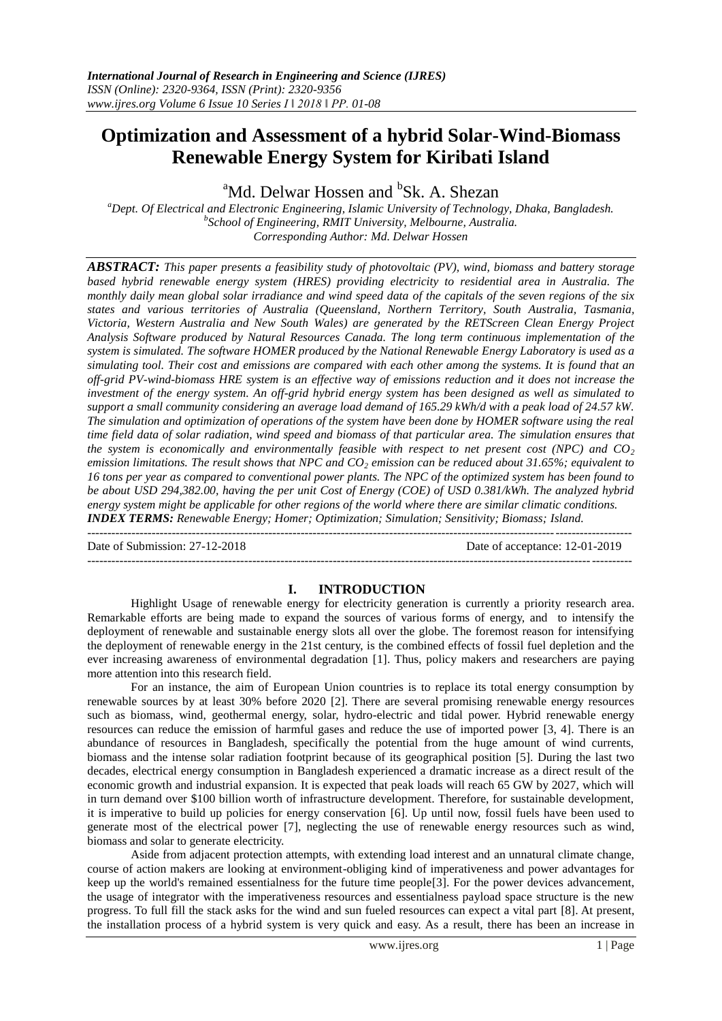# **Optimization and Assessment of a hybrid Solar-Wind-Biomass Renewable Energy System for Kiribati Island**

<sup>a</sup>Md. Delwar Hossen and <sup>b</sup>Sk. A. Shezan

*<sup>a</sup>Dept. Of Electrical and Electronic Engineering, Islamic University of Technology, Dhaka, Bangladesh. b School of Engineering, RMIT University, Melbourne, Australia. Corresponding Author: Md. Delwar Hossen*

*ABSTRACT: This paper presents a feasibility study of photovoltaic (PV), wind, biomass and battery storage based hybrid renewable energy system (HRES) providing electricity to residential area in Australia. The monthly daily mean global solar irradiance and wind speed data of the capitals of the seven regions of the six states and various territories of Australia (Queensland, Northern Territory, South Australia, Tasmania, Victoria, Western Australia and New South Wales) are generated by the RETScreen Clean Energy Project Analysis Software produced by Natural Resources Canada. The long term continuous implementation of the system is simulated. The software HOMER produced by the National Renewable Energy Laboratory is used as a simulating tool. Their cost and emissions are compared with each other among the systems. It is found that an off-grid PV-wind-biomass HRE system is an effective way of emissions reduction and it does not increase the investment of the energy system. An off-grid hybrid energy system has been designed as well as simulated to support a small community considering an average load demand of 165.29 kWh/d with a peak load of 24.57 kW. The simulation and optimization of operations of the system have been done by HOMER software using the real time field data of solar radiation, wind speed and biomass of that particular area. The simulation ensures that the system is economically and environmentally feasible with respect to net present cost (NPC) and CO<sup>2</sup> emission limitations. The result shows that NPC and CO<sup>2</sup> emission can be reduced about 31.65%; equivalent to 16 tons per year as compared to conventional power plants. The NPC of the optimized system has been found to be about USD 294,382.00, having the per unit Cost of Energy (COE) of USD 0.381/kWh. The analyzed hybrid energy system might be applicable for other regions of the world where there are similar climatic conditions. INDEX TERMS: Renewable Energy; Homer; Optimization; Simulation; Sensitivity; Biomass; Island.*  $-1\leq i\leq n-1$ 

---------------------------------------------------------------------------------------------------------------------------------------

Date of Submission: 27-12-2018 Date of acceptance: 12-01-2019

# **I. INTRODUCTION**

Highlight Usage of renewable energy for electricity generation is currently a priority research area. Remarkable efforts are being made to expand the sources of various forms of energy, and to intensify the deployment of renewable and sustainable energy slots all over the globe. The foremost reason for intensifying the deployment of renewable energy in the 21st century, is the combined effects of fossil fuel depletion and the ever increasing awareness of environmental degradation [1]. Thus, policy makers and researchers are paying more attention into this research field.

For an instance, the aim of European Union countries is to replace its total energy consumption by renewable sources by at least 30% before 2020 [2]. There are several promising renewable energy resources such as biomass, wind, geothermal energy, solar, hydro-electric and tidal power. Hybrid renewable energy resources can reduce the emission of harmful gases and reduce the use of imported power [3, 4]. There is an abundance of resources in Bangladesh, specifically the potential from the huge amount of wind currents, biomass and the intense solar radiation footprint because of its geographical position [5]. During the last two decades, electrical energy consumption in Bangladesh experienced a dramatic increase as a direct result of the economic growth and industrial expansion. It is expected that peak loads will reach 65 GW by 2027, which will in turn demand over \$100 billion worth of infrastructure development. Therefore, for sustainable development, it is imperative to build up policies for energy conservation [6]. Up until now, fossil fuels have been used to generate most of the electrical power [7], neglecting the use of renewable energy resources such as wind, biomass and solar to generate electricity.

Aside from adjacent protection attempts, with extending load interest and an unnatural climate change, course of action makers are looking at environment-obliging kind of imperativeness and power advantages for keep up the world's remained essentialness for the future time people[3]. For the power devices advancement, the usage of integrator with the imperativeness resources and essentialness payload space structure is the new progress. To full fill the stack asks for the wind and sun fueled resources can expect a vital part [8]. At present, the installation process of a hybrid system is very quick and easy. As a result, there has been an increase in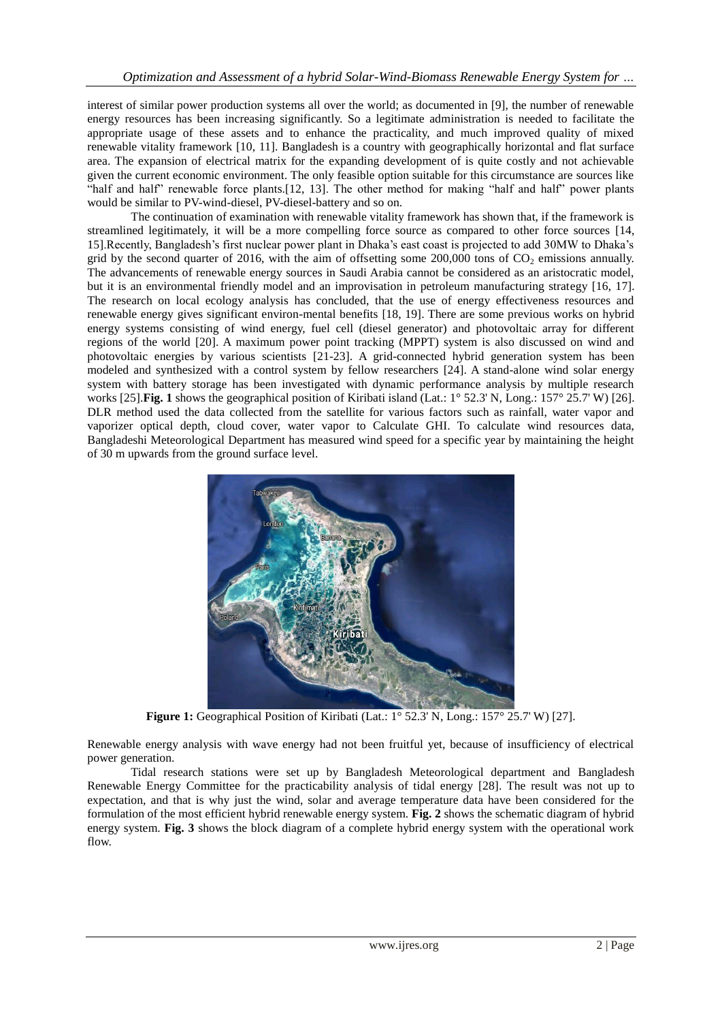interest of similar power production systems all over the world; as documented in [9], the number of renewable energy resources has been increasing significantly. So a legitimate administration is needed to facilitate the appropriate usage of these assets and to enhance the practicality, and much improved quality of mixed renewable vitality framework [10, 11]. Bangladesh is a country with geographically horizontal and flat surface area. The expansion of electrical matrix for the expanding development of is quite costly and not achievable given the current economic environment. The only feasible option suitable for this circumstance are sources like "half and half" renewable force plants.[12, 13]. The other method for making "half and half" power plants would be similar to PV-wind-diesel, PV-diesel-battery and so on.

The continuation of examination with renewable vitality framework has shown that, if the framework is streamlined legitimately, it will be a more compelling force source as compared to other force sources [14, 15].Recently, Bangladesh's first nuclear power plant in Dhaka's east coast is projected to add 30MW to Dhaka's grid by the second quarter of 2016, with the aim of offsetting some  $200,000$  tons of  $CO<sub>2</sub>$  emissions annually. The advancements of renewable energy sources in Saudi Arabia cannot be considered as an aristocratic model, but it is an environmental friendly model and an improvisation in petroleum manufacturing strategy [16, 17]. The research on local ecology analysis has concluded, that the use of energy effectiveness resources and renewable energy gives significant environ-mental benefits [18, 19]. There are some previous works on hybrid energy systems consisting of wind energy, fuel cell (diesel generator) and photovoltaic array for different regions of the world [20]. A maximum power point tracking (MPPT) system is also discussed on wind and photovoltaic energies by various scientists [21-23]. A grid-connected hybrid generation system has been modeled and synthesized with a control system by fellow researchers [24]. A stand-alone wind solar energy system with battery storage has been investigated with dynamic performance analysis by multiple research works [25].**Fig. 1** shows the geographical position of Kiribati island (Lat.: 1° 52.3' N, Long.: 157° 25.7' W) [26]. DLR method used the data collected from the satellite for various factors such as rainfall, water vapor and vaporizer optical depth, cloud cover, water vapor to Calculate GHI. To calculate wind resources data, Bangladeshi Meteorological Department has measured wind speed for a specific year by maintaining the height of 30 m upwards from the ground surface level.



**Figure 1:** Geographical Position of Kiribati (Lat.: 1° 52.3' N, Long.: 157° 25.7' W) [27].

Renewable energy analysis with wave energy had not been fruitful yet, because of insufficiency of electrical power generation.

Tidal research stations were set up by Bangladesh Meteorological department and Bangladesh Renewable Energy Committee for the practicability analysis of tidal energy [28]. The result was not up to expectation, and that is why just the wind, solar and average temperature data have been considered for the formulation of the most efficient hybrid renewable energy system. **Fig. 2** shows the schematic diagram of hybrid energy system. **Fig. 3** shows the block diagram of a complete hybrid energy system with the operational work flow.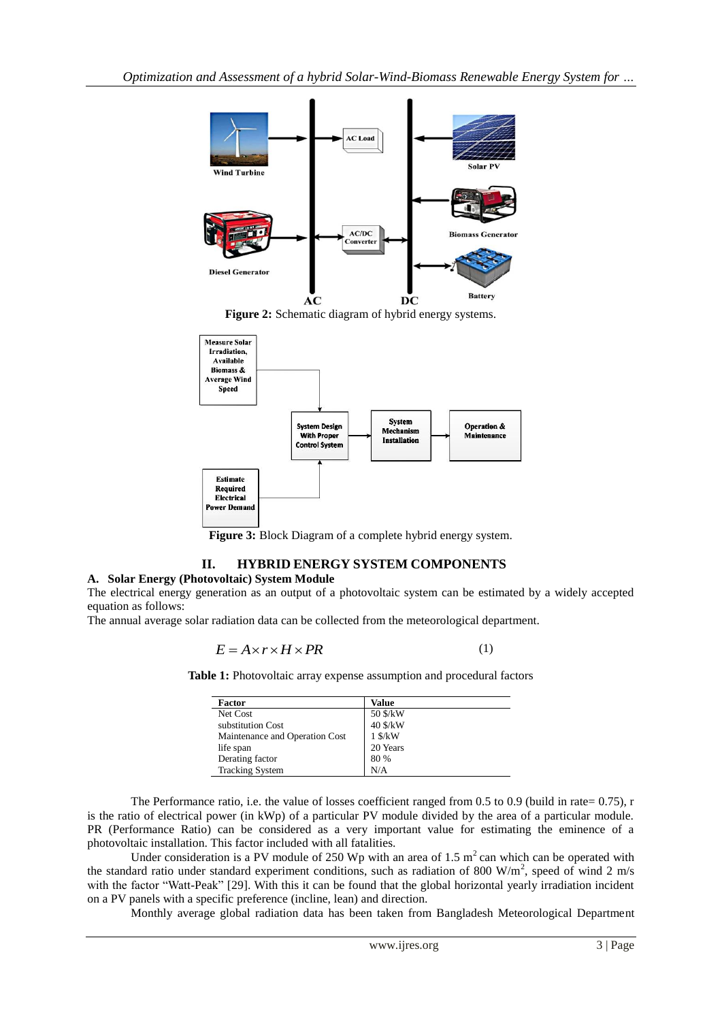

Figure 2: Schematic diagram of hybrid energy systems.



**Figure 3:** Block Diagram of a complete hybrid energy system.

# **II. HYBRID ENERGY SYSTEM COMPONENTS**

#### **A. Solar Energy (Photovoltaic) System Module**

The electrical energy generation as an output of a photovoltaic system can be estimated by a widely accepted equation as follows:

The annual average solar radiation data can be collected from the meteorological department.

$$
E = A \times r \times H \times PR \tag{1}
$$

**Table 1:** Photovoltaic array expense assumption and procedural factors

| Factor                         | Value        |
|--------------------------------|--------------|
| Net Cost                       | 50 \$/kW     |
| substitution Cost              | 40 \$/kW     |
| Maintenance and Operation Cost | $1$ \$/ $kW$ |
| life span                      | 20 Years     |
| Derating factor                | 80 %         |
| <b>Tracking System</b>         | N/A          |

The Performance ratio, i.e. the value of losses coefficient ranged from 0.5 to 0.9 (build in rate= 0.75), r is the ratio of electrical power (in kWp) of a particular PV module divided by the area of a particular module. PR (Performance Ratio) can be considered as a very important value for estimating the eminence of a photovoltaic installation. This factor included with all fatalities.

Under consideration is a PV module of 250 Wp with an area of 1.5  $m<sup>2</sup>$  can which can be operated with the standard ratio under standard experiment conditions, such as radiation of 800 W/m<sup>2</sup>, speed of wind 2 m/s with the factor "Watt-Peak" [29]. With this it can be found that the global horizontal yearly irradiation incident on a PV panels with a specific preference (incline, lean) and direction.

Monthly average global radiation data has been taken from Bangladesh Meteorological Department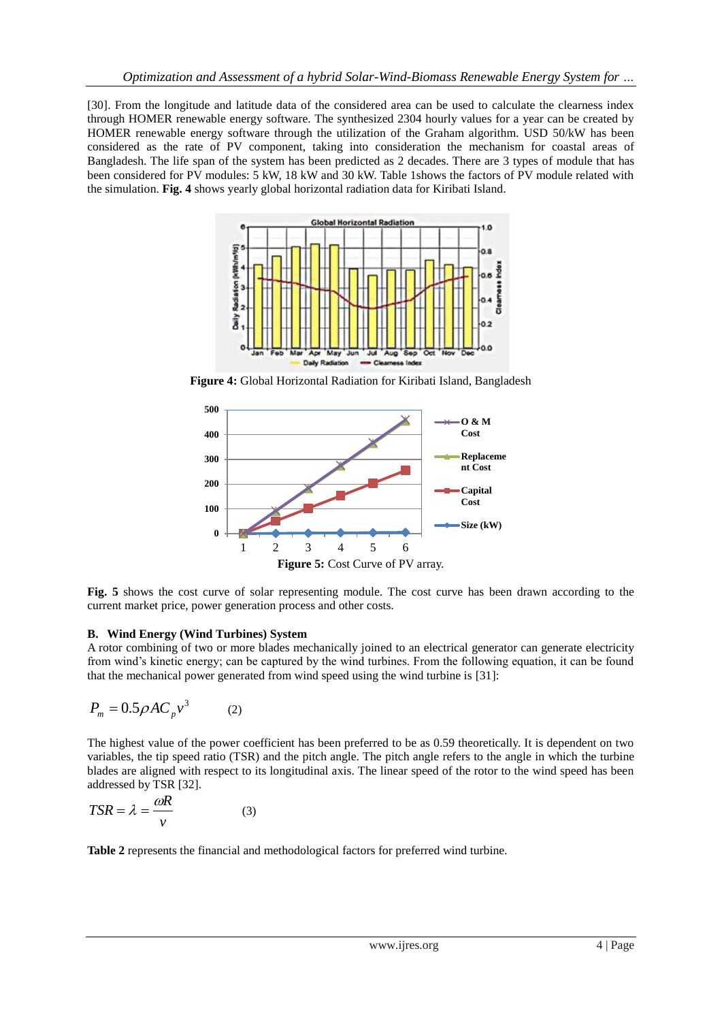[30]. From the longitude and latitude data of the considered area can be used to calculate the clearness index through HOMER renewable energy software. The synthesized 2304 hourly values for a year can be created by HOMER renewable energy software through the utilization of the Graham algorithm. USD 50/kW has been considered as the rate of PV component, taking into consideration the mechanism for coastal areas of Bangladesh. The life span of the system has been predicted as 2 decades. There are 3 types of module that has been considered for PV modules: 5 kW, 18 kW and 30 kW. Table 1shows the factors of PV module related with the simulation. **Fig. 4** shows yearly global horizontal radiation data for Kiribati Island.



**Figure 4:** Global Horizontal Radiation for Kiribati Island, Bangladesh



**Fig. 5** shows the cost curve of solar representing module. The cost curve has been drawn according to the current market price, power generation process and other costs.

# **B. Wind Energy (Wind Turbines) System**

A rotor combining of two or more blades mechanically joined to an electrical generator can generate electricity from wind's kinetic energy; can be captured by the wind turbines. From the following equation, it can be found that the mechanical power generated from wind speed using the wind turbine is [31]:

$$
P_m = 0.5 \rho A C_p v^3 \qquad (2)
$$

The highest value of the power coefficient has been preferred to be as 0.59 theoretically. It is dependent on two variables, the tip speed ratio (TSR) and the pitch angle. The pitch angle refers to the angle in which the turbine blades are aligned with respect to its longitudinal axis. The linear speed of the rotor to the wind speed has been addressed by TSR [32].

$$
TSR = \lambda = \frac{\omega R}{v}
$$
 (3)

**Table 2** represents the financial and methodological factors for preferred wind turbine.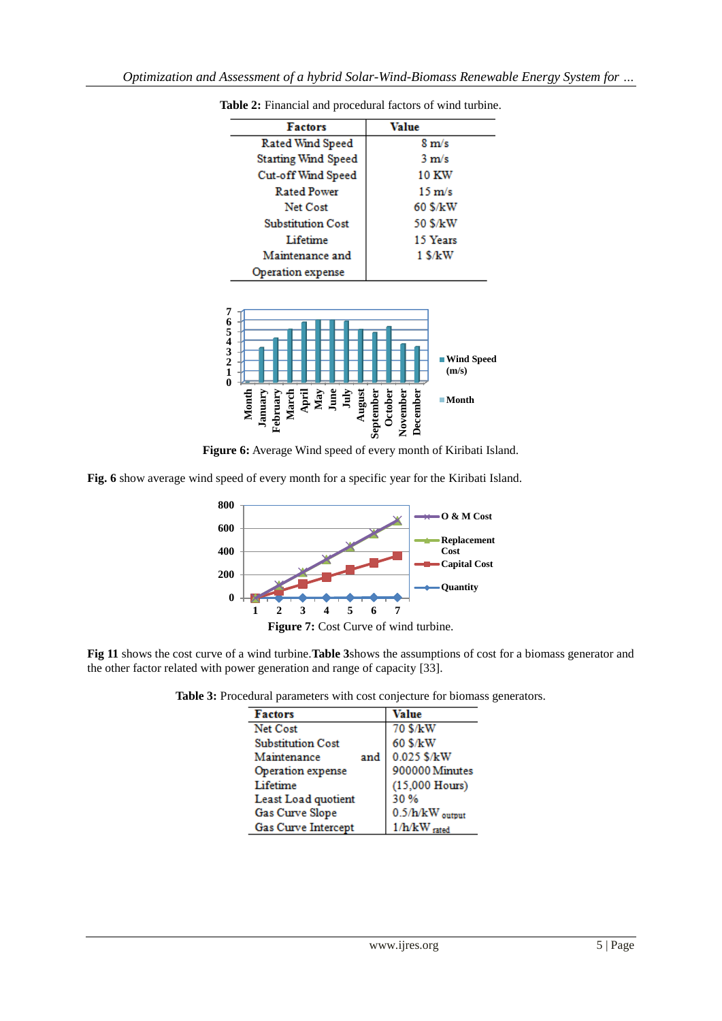| <b>Factors</b>             | Value            |
|----------------------------|------------------|
| Rated Wind Speed           | $8 \text{ m/s}$  |
| <b>Starting Wind Speed</b> | $3 \text{ m/s}$  |
| Cut-off Wind Speed         | <b>10 KW</b>     |
| <b>Rated Power</b>         | $15 \text{ m/s}$ |
| Net Cost                   | 60 \$/kW         |
| <b>Substitution Cost</b>   | 50 \$/kW         |
| Lifetime                   | 15 Years         |
| Maintenance and            | $1$ \$/ $k$ W    |
| Operation expense          |                  |

**Table 2:** Financial and procedural factors of wind turbine.



**Figure 6:** Average Wind speed of every month of Kiribati Island.

**Fig. 6** show average wind speed of every month for a specific year for the Kiribati Island.



**Fig 11** shows the cost curve of a wind turbine.**Table 3**shows the assumptions of cost for a biomass generator and the other factor related with power generation and range of capacity [33].

**Table 3:** Procedural parameters with cost conjecture for biomass generators.

| <b>Factors</b>           | Value                      |
|--------------------------|----------------------------|
| Net Cost                 | 70 \$/kW                   |
| <b>Substitution Cost</b> | 60 \$/kW                   |
| Maintenance<br>and       | 0.025 \$/kW                |
| Operation expense        | 900000 Minutes             |
| Lifetime                 | $(15,000$ Hours)           |
| Least Load quotient      | 30 %                       |
| Gas Curve Slope          | $0.5/h/kW_{\text{output}}$ |
| Gas Curve Intercept      | $1/h/kW$ rated             |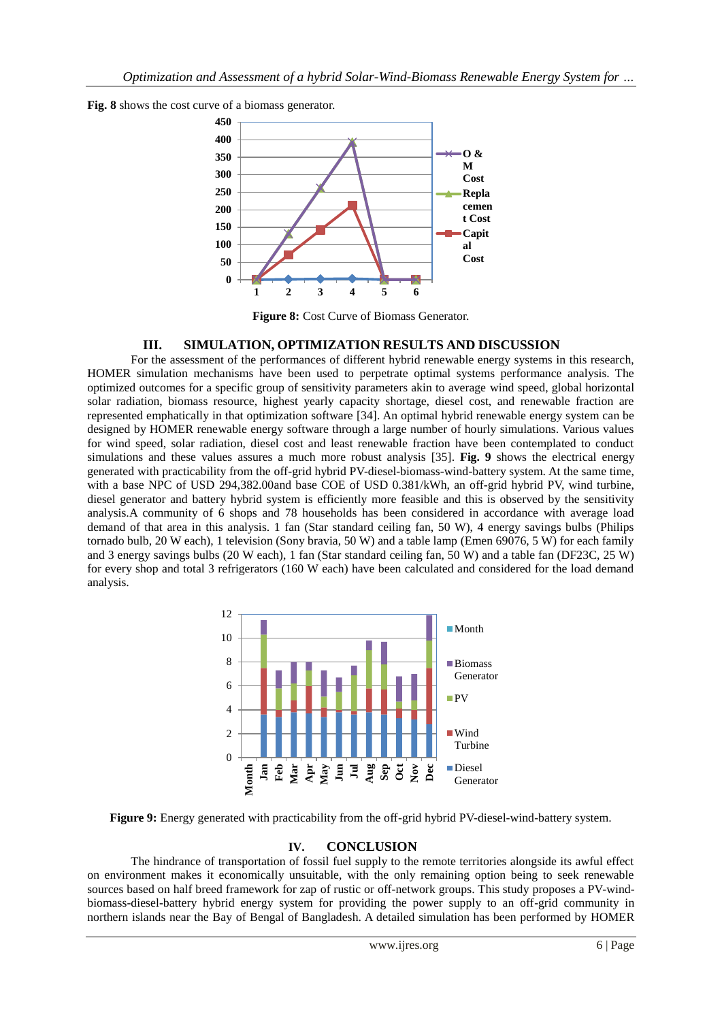



**Figure 8:** Cost Curve of Biomass Generator.

#### **III. SIMULATION, OPTIMIZATION RESULTS AND DISCUSSION**

For the assessment of the performances of different hybrid renewable energy systems in this research, HOMER simulation mechanisms have been used to perpetrate optimal systems performance analysis. The optimized outcomes for a specific group of sensitivity parameters akin to average wind speed, global horizontal solar radiation, biomass resource, highest yearly capacity shortage, diesel cost, and renewable fraction are represented emphatically in that optimization software [34]. An optimal hybrid renewable energy system can be designed by HOMER renewable energy software through a large number of hourly simulations. Various values for wind speed, solar radiation, diesel cost and least renewable fraction have been contemplated to conduct simulations and these values assures a much more robust analysis [35]. **Fig. 9** shows the electrical energy generated with practicability from the off-grid hybrid PV-diesel-biomass-wind-battery system. At the same time, with a base NPC of USD 294,382.00and base COE of USD 0.381/kWh, an off-grid hybrid PV, wind turbine, diesel generator and battery hybrid system is efficiently more feasible and this is observed by the sensitivity analysis.A community of 6 shops and 78 households has been considered in accordance with average load demand of that area in this analysis. 1 fan (Star standard ceiling fan, 50 W), 4 energy savings bulbs (Philips tornado bulb, 20 W each), 1 television (Sony bravia, 50 W) and a table lamp (Emen 69076, 5 W) for each family and 3 energy savings bulbs (20 W each), 1 fan (Star standard ceiling fan, 50 W) and a table fan (DF23C, 25 W) for every shop and total 3 refrigerators (160 W each) have been calculated and considered for the load demand analysis.



**Figure 9:** Energy generated with practicability from the off-grid hybrid PV-diesel-wind-battery system.

# **IV. CONCLUSION**

The hindrance of transportation of fossil fuel supply to the remote territories alongside its awful effect on environment makes it economically unsuitable, with the only remaining option being to seek renewable sources based on half breed framework for zap of rustic or off-network groups. This study proposes a PV-windbiomass-diesel-battery hybrid energy system for providing the power supply to an off-grid community in northern islands near the Bay of Bengal of Bangladesh. A detailed simulation has been performed by HOMER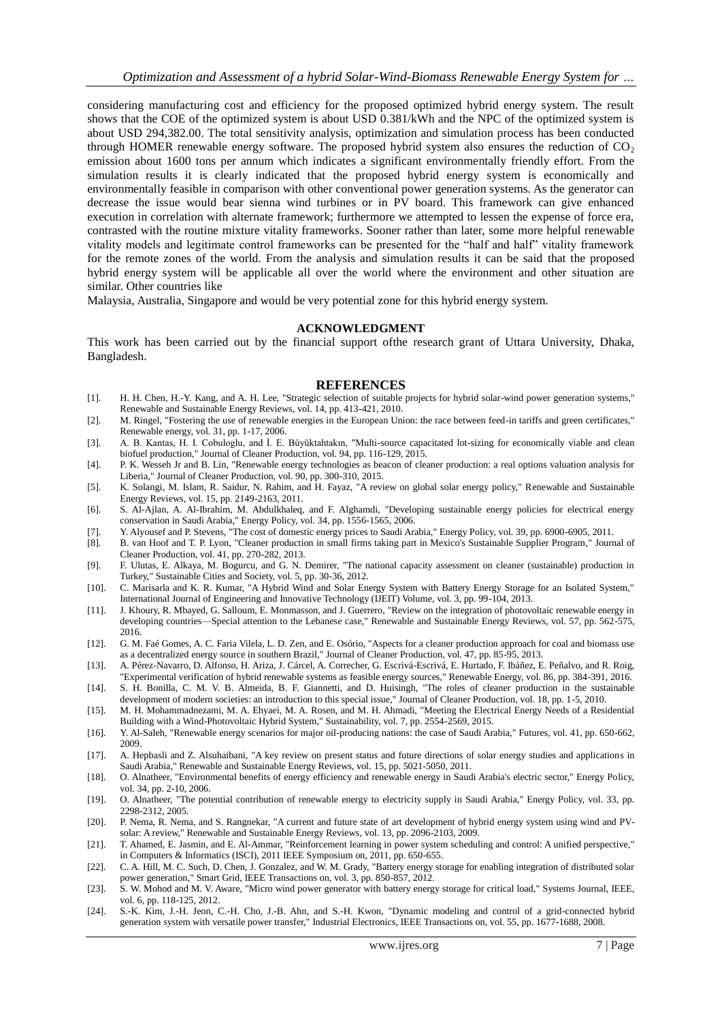considering manufacturing cost and efficiency for the proposed optimized hybrid energy system. The result shows that the COE of the optimized system is about USD 0.381/kWh and the NPC of the optimized system is about USD 294,382.00. The total sensitivity analysis, optimization and simulation process has been conducted through HOMER renewable energy software. The proposed hybrid system also ensures the reduction of  $CO<sub>2</sub>$ emission about 1600 tons per annum which indicates a significant environmentally friendly effort. From the simulation results it is clearly indicated that the proposed hybrid energy system is economically and environmentally feasible in comparison with other conventional power generation systems. As the generator can decrease the issue would bear sienna wind turbines or in PV board. This framework can give enhanced execution in correlation with alternate framework; furthermore we attempted to lessen the expense of force era, contrasted with the routine mixture vitality frameworks. Sooner rather than later, some more helpful renewable vitality models and legitimate control frameworks can be presented for the "half and half" vitality framework for the remote zones of the world. From the analysis and simulation results it can be said that the proposed hybrid energy system will be applicable all over the world where the environment and other situation are similar. Other countries like

Malaysia, Australia, Singapore and would be very potential zone for this hybrid energy system.

#### **ACKNOWLEDGMENT**

This work has been carried out by the financial support ofthe research grant of Uttara University, Dhaka, Bangladesh.

#### **REFERENCES**

- [1]. H. H. Chen, H.-Y. Kang, and A. H. Lee, "Strategic selection of suitable projects for hybrid solar-wind power generation systems," Renewable and Sustainable Energy Reviews, vol. 14, pp. 413-421, 2010.
- [2]. M. Ringel, "Fostering the use of renewable energies in the European Union: the race between feed-in tariffs and green certificates," Renewable energy, vol. 31, pp. 1-17, 2006.
- [3]. A. B. Kantas, H. I. Cobuloglu, and I. E. Büyüktahtakın, "Multi-source capacitated lot-sizing for economically viable and clean biofuel production," Journal of Cleaner Production, vol. 94, pp. 116-129, 2015.
- [4]. P. K. Wesseh Jr and B. Lin, "Renewable energy technologies as beacon of cleaner production: a real options valuation analysis for Liberia," Journal of Cleaner Production, vol. 90, pp. 300-310, 2015.
- [5]. K. Solangi, M. Islam, R. Saidur, N. Rahim, and H. Fayaz, "A review on global solar energy policy," Renewable and Sustainable Energy Reviews, vol. 15, pp. 2149-2163, 2011.
- [6]. S. Al-Ajlan, A. Al-Ibrahim, M. Abdulkhaleq, and F. Alghamdi, "Developing sustainable energy policies for electrical energy conservation in Saudi Arabia," Energy Policy, vol. 34, pp. 1556-1565, 2006.
- [7]. Y. Alyousef and P. Stevens, "The cost of domestic energy prices to Saudi Arabia," Energy Policy, vol. 39, pp. 6900-6905, 2011.
- [8]. B. van Hoof and T. P. Lyon, "Cleaner production in small firms taking part in Mexico's Sustainable Supplier Program," Journal of Cleaner Production, vol. 41, pp. 270-282, 2013.
- [9]. F. Ulutas, E. Alkaya, M. Bogurcu, and G. N. Demirer, "The national capacity assessment on cleaner (sustainable) production in Turkey," Sustainable Cities and Society, vol. 5, pp. 30-36, 2012.
- [10]. C. Marisarla and K. R. Kumar, "A Hybrid Wind and Solar Energy System with Battery Energy Storage for an Isolated System," International Journal of Engineering and Innovative Technology (IJEIT) Volume, vol. 3, pp. 99-104, 2013.
- [11]. J. Khoury, R. Mbayed, G. Salloum, E. Monmasson, and J. Guerrero, "Review on the integration of photovoltaic renewable energy in developing countries—Special attention to the Lebanese case," Renewable and Sustainable Energy Reviews, vol. 57, pp. 562-575, 2016.
- [12]. G. M. Faé Gomes, A. C. Faria Vilela, L. D. Zen, and E. Osório, "Aspects for a cleaner production approach for coal and biomass use as a decentralized energy source in southern Brazil," Journal of Cleaner Production, vol. 47, pp. 85-95, 2013.
- [13]. A. Pérez-Navarro, D. Alfonso, H. Ariza, J. Cárcel, A. Correcher, G. Escrivá-Escrivá, E. Hurtado, F. Ibáñez, E. Peñalvo, and R. Roig, "Experimental verification of hybrid renewable systems as feasible energy sources," Renewable Energy, vol. 86, pp. 384-391, 2016.
- [14]. S. H. Bonilla, C. M. V. B. Almeida, B. F. Giannetti, and D. Huisingh, "The roles of cleaner production in the sustainable development of modern societies: an introduction to this special issue," Journal of Cleaner Production, vol. 18, pp. 1-5, 2010.
- [15]. M. H. Mohammadnezami, M. A. Ehyaei, M. A. Rosen, and M. H. Ahmadi, "Meeting the Electrical Energy Needs of a Residential Building with a Wind-Photovoltaic Hybrid System," Sustainability, vol. 7, pp. 2554-2569, 2015.
- [16]. Y. Al-Saleh, "Renewable energy scenarios for major oil-producing nations: the case of Saudi Arabia," Futures, vol. 41, pp. 650-662, 2009.
- [17]. A. Hepbasli and Z. Alsuhaibani, "A key review on present status and future directions of solar energy studies and applications in Saudi Arabia," Renewable and Sustainable Energy Reviews, vol. 15, pp. 5021-5050, 2011.
- [18]. O. Alnatheer, "Environmental benefits of energy efficiency and renewable energy in Saudi Arabia's electric sector," Energy Policy, vol. 34, pp. 2-10, 2006.
- [19]. O. Alnatheer, "The potential contribution of renewable energy to electricity supply in Saudi Arabia," Energy Policy, vol. 33, pp. 2298-2312, 2005.
- [20]. P. Nema, R. Nema, and S. Rangnekar, "A current and future state of art development of hybrid energy system using wind and PVsolar: A review," Renewable and Sustainable Energy Reviews, vol. 13, pp. 2096-2103, 2009.
- [21]. T. Ahamed, E. Jasmin, and E. Al-Ammar, "Reinforcement learning in power system scheduling and control: A unified perspective," in Computers & Informatics (ISCI), 2011 IEEE Symposium on, 2011, pp. 650-655.
- [22]. C. A. Hill, M. C. Such, D. Chen, J. Gonzalez, and W. M. Grady, "Battery energy storage for enabling integration of distributed solar power generation," Smart Grid, IEEE Transactions on, vol. 3, pp. 850-857, 2012.
- [23]. S. W. Mohod and M. V. Aware, "Micro wind power generator with battery energy storage for critical load," Systems Journal, IEEE, vol. 6, pp. 118-125, 2012.
- [24]. S.-K. Kim, J.-H. Jeon, C.-H. Cho, J.-B. Ahn, and S.-H. Kwon, "Dynamic modeling and control of a grid-connected hybrid generation system with versatile power transfer," Industrial Electronics, IEEE Transactions on, vol. 55, pp. 1677-1688, 2008.